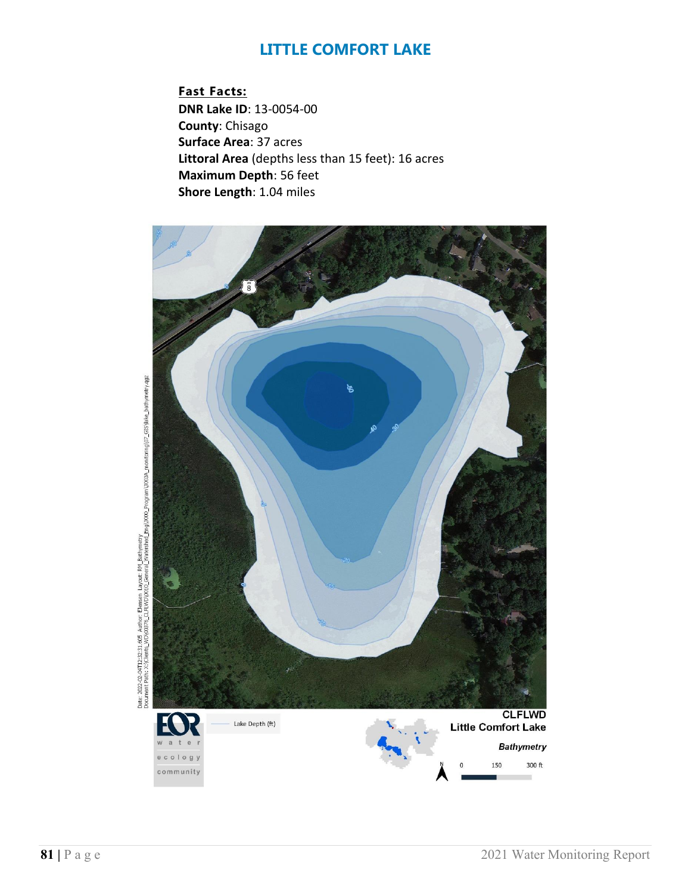**Fast Facts: DNR Lake ID**: 13-0054-00 **County**: Chisago **Surface Area**: 37 acres **Littoral Area** (depths less than 15 feet): 16 acres **Maximum Depth**: 56 feet **Shore Length**: 1.04 miles



2022-02-04T12:32:31.605 Author: Elensen Layout: RM Bathmetry<br>ment Patri X: (Clients\_WD)(0376\_CJELWD)(0310\_General\_Matershed\_Eng)3000\_Program)3003A\_monitoring()07\_GIS\)ale\_bathynetry.qgz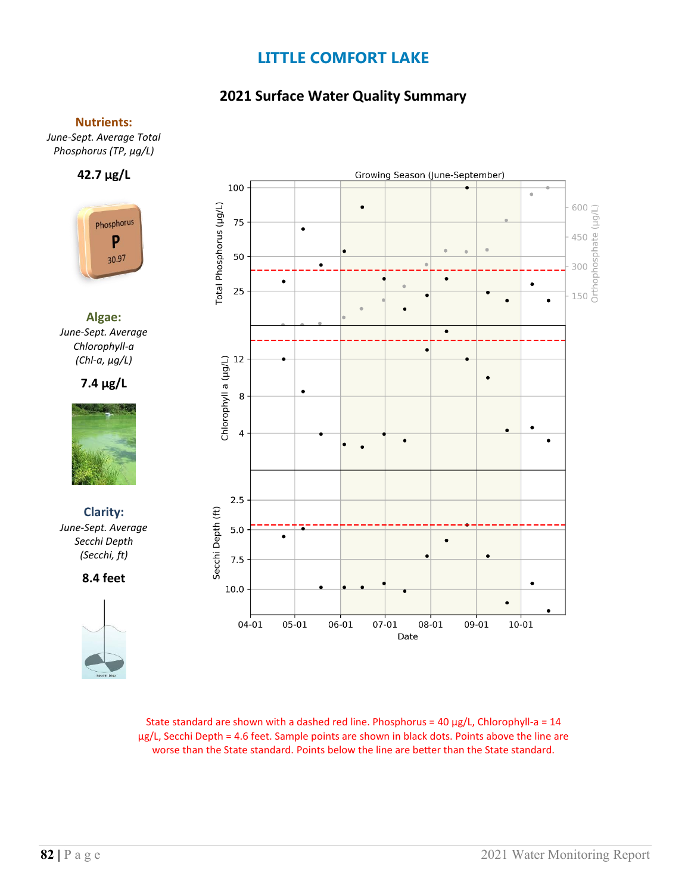### **2021 Surface Water Quality Summary**

#### **Nutrients:**

*June-Sept. Average Total Phosphorus (TP, µg/L)*

#### **42.7 µg/L**



**Algae:** *June-Sept. Average Chlorophyll-a (Chl-a, µg/L)*

#### **7.4 µg/L**



**Clarity:**  *June-Sept. Average Secchi Depth (Secchi, ft)*

**8.4 feet**





State standard are shown with a dashed red line. Phosphorus =  $40 \mu g/L$ , Chlorophyll-a =  $14$ µg/L, Secchi Depth = 4.6 feet. Sample points are shown in black dots. Points above the line are worse than the State standard. Points below the line are better than the State standard.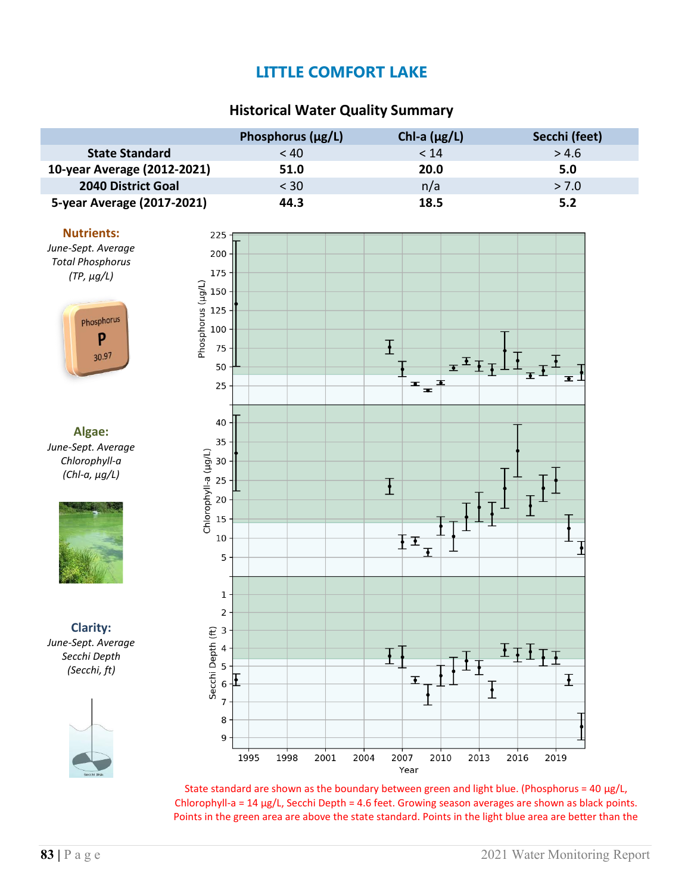### **Historical Water Quality Summary**

|                             | Phosphorus $(\mu g/L)$ | Chl-a $(\mu g/L)$ | Secchi (feet) |
|-----------------------------|------------------------|-------------------|---------------|
| <b>State Standard</b>       | < 40                   | < 14              | > 4.6         |
| 10-year Average (2012-2021) | 51.0                   | 20.0              | 5.0           |
| <b>2040 District Goal</b>   | $<$ 30                 | n/a               | > 7.0         |
| 5-year Average (2017-2021)  | 44.3                   | 18.5              | 5.2           |

#### **Nutrients:**

*June-Sept. Average Total Phosphorus (TP, µg/L)*



**Algae:** *June-Sept. Average Chlorophyll-a (Chl-a, µg/L)*



**Clarity:** *June-Sept. Average Secchi Depth (Secchi, ft)*





State standard are shown as the boundary between green and light blue. (Phosphorus = 40  $\mu$ g/L, Chlorophyll-a =  $14 \mu g/L$ , Secchi Depth =  $4.6$  feet. Growing season averages are shown as black points. Points in the green area are above the state standard. Points in the light blue area are better than the